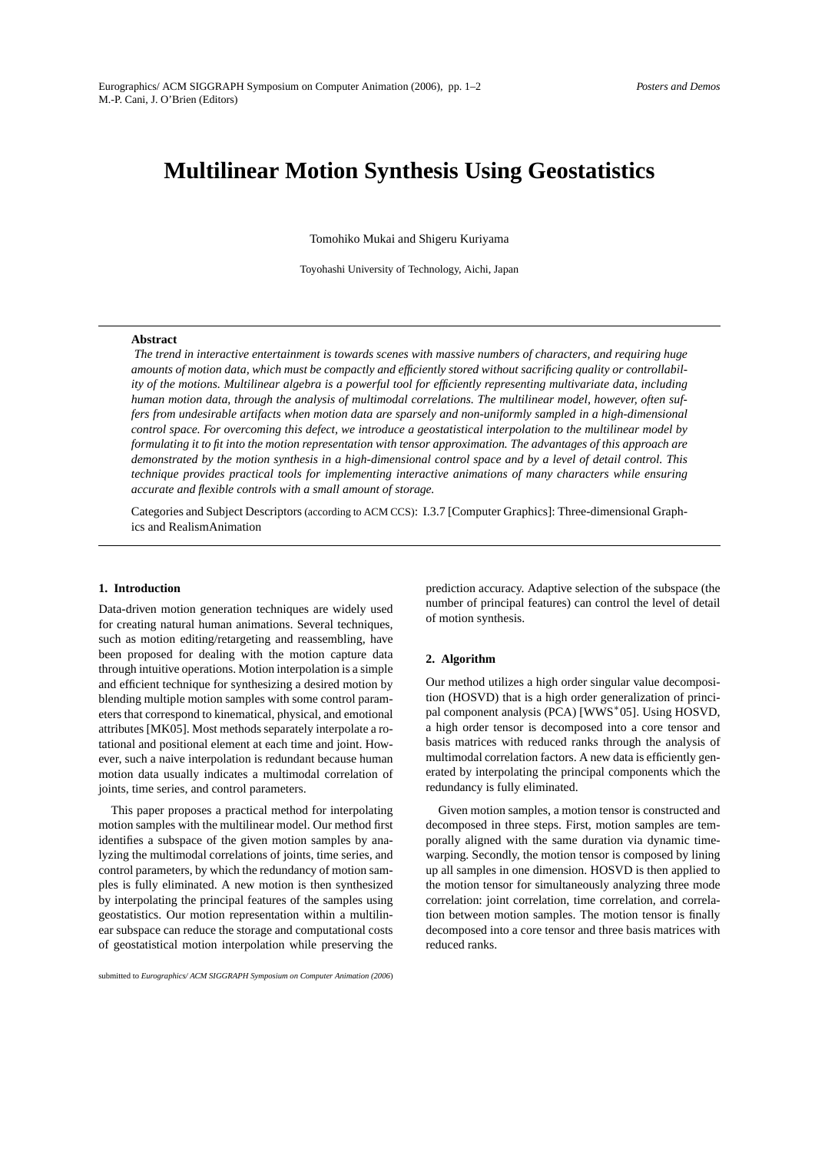# **Multilinear Motion Synthesis Using Geostatistics**

Tomohiko Mukai and Shigeru Kuriyama

Toyohashi University of Technology, Aichi, Japan

#### **Abstract**

*The trend in interactive entertainment is towards scenes with massive numbers of characters, and requiring huge amounts of motion data, which must be compactly and efficiently stored without sacrificing quality or controllability of the motions. Multilinear algebra is a powerful tool for efficiently representing multivariate data, including human motion data, through the analysis of multimodal correlations. The multilinear model, however, often suffers from undesirable artifacts when motion data are sparsely and non-uniformly sampled in a high-dimensional control space. For overcoming this defect, we introduce a geostatistical interpolation to the multilinear model by formulating it to fit into the motion representation with tensor approximation. The advantages of this approach are demonstrated by the motion synthesis in a high-dimensional control space and by a level of detail control. This technique provides practical tools for implementing interactive animations of many characters while ensuring accurate and flexible controls with a small amount of storage.*

Categories and Subject Descriptors (according to ACM CCS): I.3.7 [Computer Graphics]: Three-dimensional Graphics and RealismAnimation

### **1. Introduction**

Data-driven motion generation techniques are widely used for creating natural human animations. Several techniques, such as motion editing/retargeting and reassembling, have been proposed for dealing with the motion capture data through intuitive operations. Motion interpolation is a simple and efficient technique for synthesizing a desired motion by blending multiple motion samples with some control parameters that correspond to kinematical, physical, and emotional attributes [MK05]. Most methods separately interpolate a rotational and positional element at each time and joint. However, such a naive interpolation is redundant because human motion data usually indicates a multimodal correlation of joints, time series, and control parameters.

This paper proposes a practical method for interpolating motion samples with the multilinear model. Our method first identifies a subspace of the given motion samples by analyzing the multimodal correlations of joints, time series, and control parameters, by which the redundancy of motion samples is fully eliminated. A new motion is then synthesized by interpolating the principal features of the samples using geostatistics. Our motion representation within a multilinear subspace can reduce the storage and computational costs of geostatistical motion interpolation while preserving the prediction accuracy. Adaptive selection of the subspace (the number of principal features) can control the level of detail of motion synthesis.

## **2. Algorithm**

Our method utilizes a high order singular value decomposition (HOSVD) that is a high order generalization of principal component analysis (PCA) [WWS*∗* 05]. Using HOSVD, a high order tensor is decomposed into a core tensor and basis matrices with reduced ranks through the analysis of multimodal correlation factors. A new data is efficiently generated by interpolating the principal components which the redundancy is fully eliminated.

Given motion samples, a motion tensor is constructed and decomposed in three steps. First, motion samples are temporally aligned with the same duration via dynamic timewarping. Secondly, the motion tensor is composed by lining up all samples in one dimension. HOSVD is then applied to the motion tensor for simultaneously analyzing three mode correlation: joint correlation, time correlation, and correlation between motion samples. The motion tensor is finally decomposed into a core tensor and three basis matrices with reduced ranks.